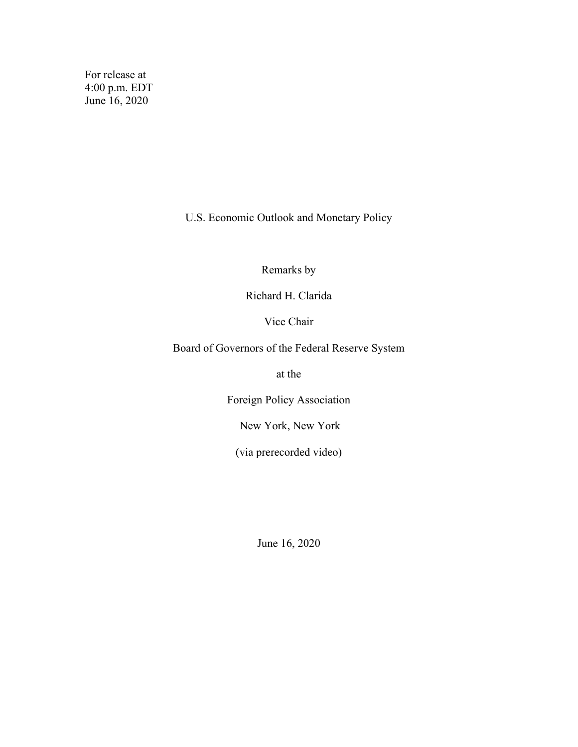For release at 4:00 p.m. EDT June 16, 2020

U.S. Economic Outlook and Monetary Policy

Remarks by

Richard H. Clarida

Vice Chair

Board of Governors of the Federal Reserve System

at the

Foreign Policy Association

New York, New York

(via prerecorded video)

June 16, 2020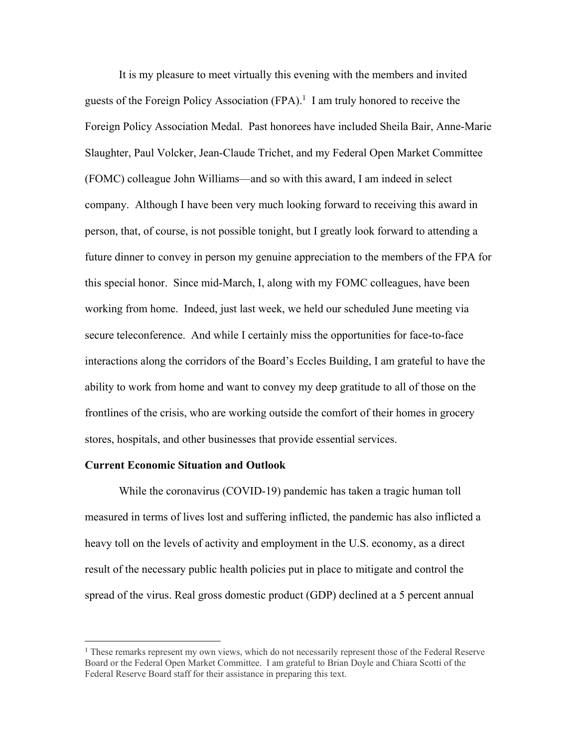It is my pleasure to meet virtually this evening with the members and invited guests of the Foreign Policy Association  $(FPA)$ .<sup>1</sup> I am truly honored to receive the Foreign Policy Association Medal. Past honorees have included Sheila Bair, Anne-Marie Slaughter, Paul Volcker, Jean-Claude Trichet, and my Federal Open Market Committee (FOMC) colleague John Williams—and so with this award, I am indeed in select company. Although I have been very much looking forward to receiving this award in person, that, of course, is not possible tonight, but I greatly look forward to attending a future dinner to convey in person my genuine appreciation to the members of the FPA for this special honor. Since mid-March, I, along with my FOMC colleagues, have been working from home. Indeed, just last week, we held our scheduled June meeting via secure teleconference. And while I certainly miss the opportunities for face-to-face interactions along the corridors of the Board's Eccles Building, I am grateful to have the ability to work from home and want to convey my deep gratitude to all of those on the frontlines of the crisis, who are working outside the comfort of their homes in grocery stores, hospitals, and other businesses that provide essential services.

## **Current Economic Situation and Outlook**

While the coronavirus (COVID-19) pandemic has taken a tragic human toll measured in terms of lives lost and suffering inflicted, the pandemic has also inflicted a heavy toll on the levels of activity and employment in the U.S. economy, as a direct result of the necessary public health policies put in place to mitigate and control the spread of the virus. Real gross domestic product (GDP) declined at a 5 percent annual

<sup>&</sup>lt;sup>1</sup> These remarks represent my own views, which do not necessarily represent those of the Federal Reserve Board or the Federal Open Market Committee. I am grateful to Brian Doyle and Chiara Scotti of the Federal Reserve Board staff for their assistance in preparing this text.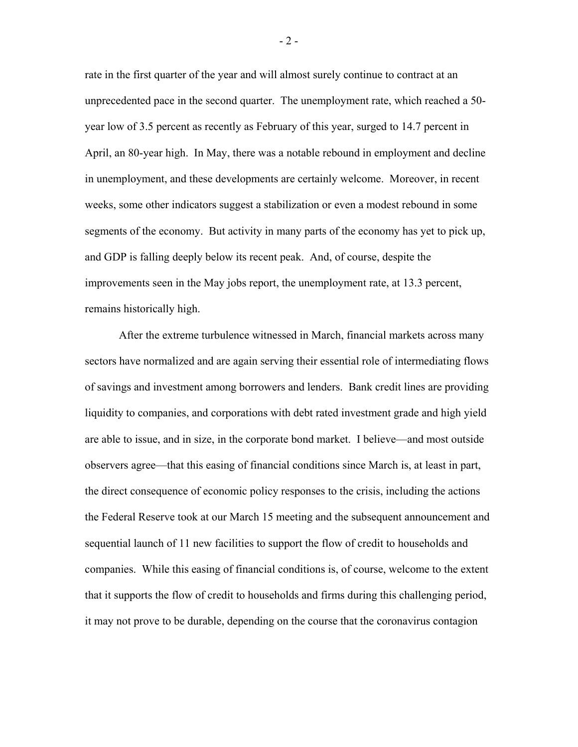rate in the first quarter of the year and will almost surely continue to contract at an unprecedented pace in the second quarter. The unemployment rate, which reached a 50 year low of 3.5 percent as recently as February of this year, surged to 14.7 percent in April, an 80-year high. In May, there was a notable rebound in employment and decline in unemployment, and these developments are certainly welcome. Moreover, in recent weeks, some other indicators suggest a stabilization or even a modest rebound in some segments of the economy. But activity in many parts of the economy has yet to pick up, and GDP is falling deeply below its recent peak. And, of course, despite the improvements seen in the May jobs report, the unemployment rate, at 13.3 percent, remains historically high.

After the extreme turbulence witnessed in March, financial markets across many sectors have normalized and are again serving their essential role of intermediating flows of savings and investment among borrowers and lenders. Bank credit lines are providing liquidity to companies, and corporations with debt rated investment grade and high yield are able to issue, and in size, in the corporate bond market. I believe—and most outside observers agree—that this easing of financial conditions since March is, at least in part, the direct consequence of economic policy responses to the crisis, including the actions the Federal Reserve took at our March 15 meeting and the subsequent announcement and sequential launch of 11 new facilities to support the flow of credit to households and companies. While this easing of financial conditions is, of course, welcome to the extent that it supports the flow of credit to households and firms during this challenging period, it may not prove to be durable, depending on the course that the coronavirus contagion

- 2 -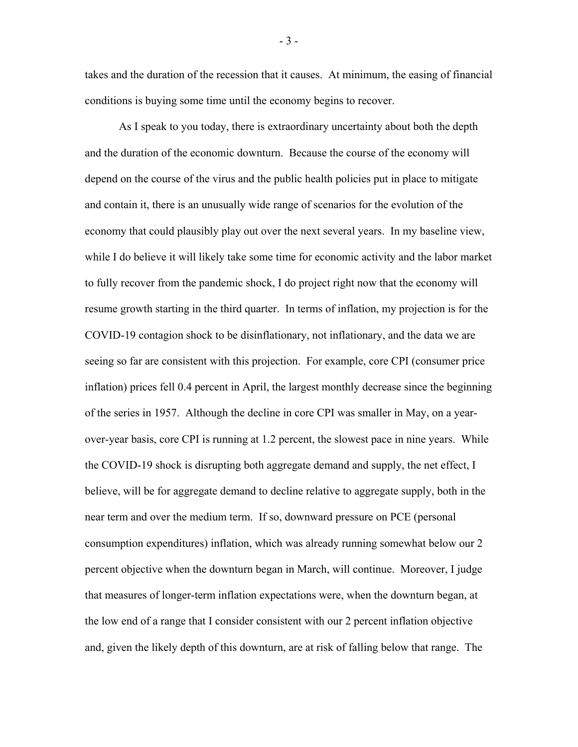takes and the duration of the recession that it causes. At minimum, the easing of financial conditions is buying some time until the economy begins to recover.

As I speak to you today, there is extraordinary uncertainty about both the depth and the duration of the economic downturn. Because the course of the economy will depend on the course of the virus and the public health policies put in place to mitigate and contain it, there is an unusually wide range of scenarios for the evolution of the economy that could plausibly play out over the next several years. In my baseline view, while I do believe it will likely take some time for economic activity and the labor market to fully recover from the pandemic shock, I do project right now that the economy will resume growth starting in the third quarter. In terms of inflation, my projection is for the COVID-19 contagion shock to be disinflationary, not inflationary, and the data we are seeing so far are consistent with this projection. For example, core CPI (consumer price inflation) prices fell 0.4 percent in April, the largest monthly decrease since the beginning of the series in 1957. Although the decline in core CPI was smaller in May, on a yearover-year basis, core CPI is running at 1.2 percent, the slowest pace in nine years. While the COVID-19 shock is disrupting both aggregate demand and supply, the net effect, I believe, will be for aggregate demand to decline relative to aggregate supply, both in the near term and over the medium term. If so, downward pressure on PCE (personal consumption expenditures) inflation, which was already running somewhat below our 2 percent objective when the downturn began in March, will continue. Moreover, I judge that measures of longer-term inflation expectations were, when the downturn began, at the low end of a range that I consider consistent with our 2 percent inflation objective and, given the likely depth of this downturn, are at risk of falling below that range. The

- 3 -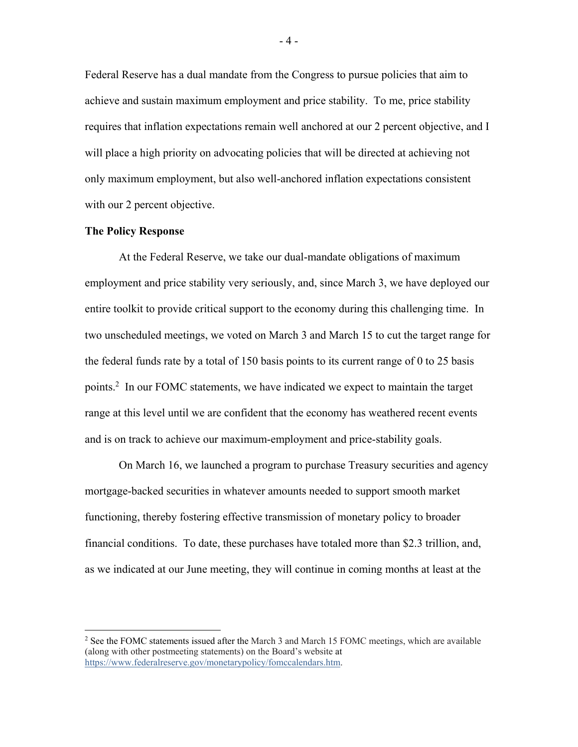Federal Reserve has a dual mandate from the Congress to pursue policies that aim to achieve and sustain maximum employment and price stability. To me, price stability requires that inflation expectations remain well anchored at our 2 percent objective, and I will place a high priority on advocating policies that will be directed at achieving not only maximum employment, but also well-anchored inflation expectations consistent with our 2 percent objective.

## **The Policy Response**

At the Federal Reserve, we take our dual-mandate obligations of maximum employment and price stability very seriously, and, since March 3, we have deployed our entire toolkit to provide critical support to the economy during this challenging time. In two unscheduled meetings, we voted on March 3 and March 15 to cut the target range for the federal funds rate by a total of 150 basis points to its current range of 0 to 25 basis points.<sup>2</sup> In our FOMC statements, we have indicated we expect to maintain the target range at this level until we are confident that the economy has weathered recent events and is on track to achieve our maximum-employment and price-stability goals.

On March 16, we launched a program to purchase Treasury securities and agency mortgage-backed securities in whatever amounts needed to support smooth market functioning, thereby fostering effective transmission of monetary policy to broader financial conditions. To date, these purchases have totaled more than \$2.3 trillion, and, as we indicated at our June meeting, they will continue in coming months at least at the

- 4 -

 $2$  See the FOMC statements issued after the March 3 and March 15 FOMC meetings, which are available (along with other postmeeting statements) on the Board's website at [https://www.federalreserve.gov/monetarypolicy/fomccalendars.htm.](https://www.federalreserve.gov/monetarypolicy/fomccalendars.htm)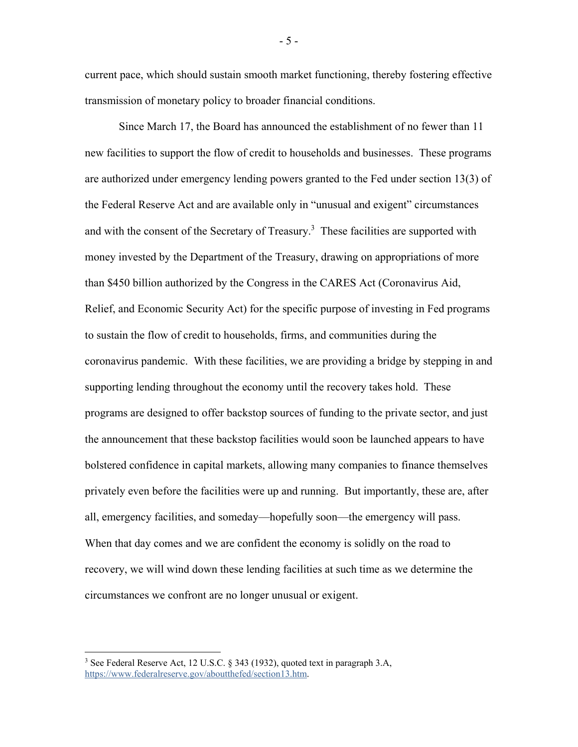current pace, which should sustain smooth market functioning, thereby fostering effective transmission of monetary policy to broader financial conditions.

Since March 17, the Board has announced the establishment of no fewer than 11 new facilities to support the flow of credit to households and businesses. These programs are authorized under emergency lending powers granted to the Fed under section 13(3) of the Federal Reserve Act and are available only in "unusual and exigent" circumstances and with the consent of the Secretary of Treasury. $3$  These facilities are supported with money invested by the Department of the Treasury, drawing on appropriations of more than \$450 billion authorized by the Congress in the CARES Act (Coronavirus Aid, Relief, and Economic Security Act) for the specific purpose of investing in Fed programs to sustain the flow of credit to households, firms, and communities during the coronavirus pandemic. With these facilities, we are providing a bridge by stepping in and supporting lending throughout the economy until the recovery takes hold. These programs are designed to offer backstop sources of funding to the private sector, and just the announcement that these backstop facilities would soon be launched appears to have bolstered confidence in capital markets, allowing many companies to finance themselves privately even before the facilities were up and running. But importantly, these are, after all, emergency facilities, and someday—hopefully soon—the emergency will pass. When that day comes and we are confident the economy is solidly on the road to recovery, we will wind down these lending facilities at such time as we determine the circumstances we confront are no longer unusual or exigent.

<sup>&</sup>lt;sup>3</sup> See Federal Reserve Act, 12 U.S.C. § 343 (1932), quoted text in paragraph 3.A, [https://www.federalreserve.gov/aboutthefed/section13.htm.](https://www.federalreserve.gov/aboutthefed/section13.htm)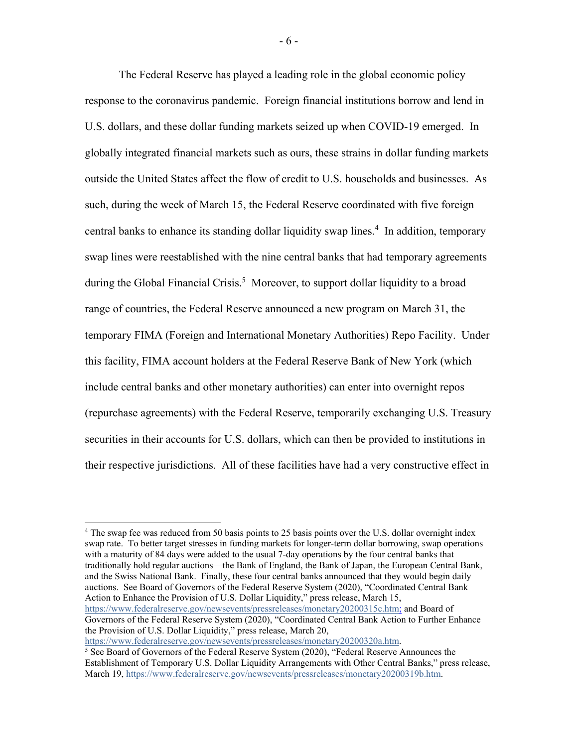The Federal Reserve has played a leading role in the global economic policy response to the coronavirus pandemic. Foreign financial institutions borrow and lend in U.S. dollars, and these dollar funding markets seized up when COVID-19 emerged. In globally integrated financial markets such as ours, these strains in dollar funding markets outside the United States affect the flow of credit to U.S. households and businesses. As such, during the week of March 15, the Federal Reserve coordinated with five foreign central banks to enhance its standing dollar liquidity swap lines.<sup>4</sup> In addition, temporary swap lines were reestablished with the nine central banks that had temporary agreements during the Global Financial Crisis.<sup>5</sup> Moreover, to support dollar liquidity to a broad range of countries, the Federal Reserve announced a new program on March 31, the temporary FIMA (Foreign and International Monetary Authorities) Repo Facility. Under this facility, FIMA account holders at the Federal Reserve Bank of New York (which include central banks and other monetary authorities) can enter into overnight repos (repurchase agreements) with the Federal Reserve, temporarily exchanging U.S. Treasury securities in their accounts for U.S. dollars, which can then be provided to institutions in their respective jurisdictions. All of these facilities have had a very constructive effect in

<sup>4</sup> The swap fee was reduced from 50 basis points to 25 basis points over the U.S. dollar overnight index swap rate. To better target stresses in funding markets for longer-term dollar borrowing, swap operations with a maturity of 84 days were added to the usual 7-day operations by the four central banks that traditionally hold regular auctions—the Bank of England, the Bank of Japan, the European Central Bank, and the Swiss National Bank. Finally, these four central banks announced that they would begin daily auctions. See Board of Governors of the Federal Reserve System (2020), "Coordinated Central Bank Action to Enhance the Provision of U.S. Dollar Liquidity," press release, March 15, [https://www.federalreserve.gov/newsevents/pressreleases/monetary20200315c.htm;](https://www.federalreserve.gov/newsevents/pressreleases/monetary20200315c.htm) and Board of Governors of the Federal Reserve System (2020), "Coordinated Central Bank Action to Further Enhance the Provision of U.S. Dollar Liquidity," press release, March 20,

[https://www.federalreserve.gov/newsevents/pressreleases/monetary20200320a.htm.](https://www.federalreserve.gov/newsevents/pressreleases/monetary20200320a.htm)<br><sup>5</sup> See Board of Governors of the Federal Reserve System (2020), "Federal Reserve Announces the

Establishment of Temporary U.S. Dollar Liquidity Arrangements with Other Central Banks," press release, March 19[, https://www.federalreserve.gov/newsevents/pressreleases/monetary20200319b.htm.](https://www.federalreserve.gov/newsevents/pressreleases/monetary20200319b.htm)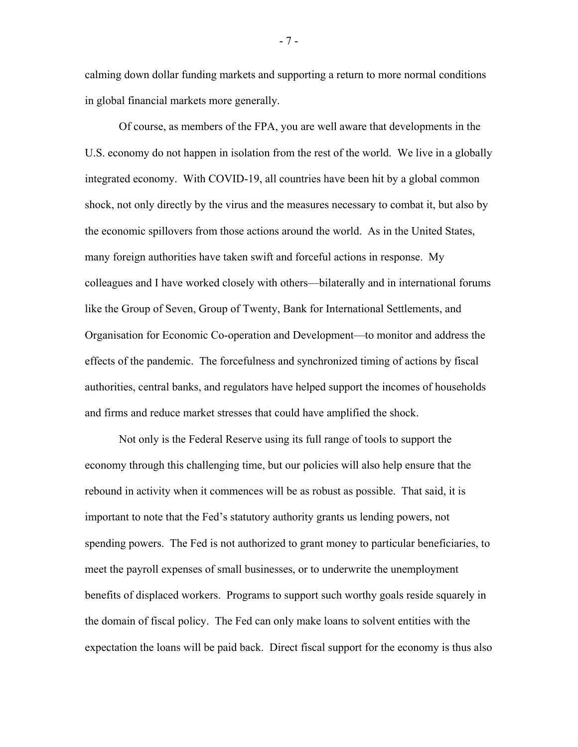calming down dollar funding markets and supporting a return to more normal conditions in global financial markets more generally.

Of course, as members of the FPA, you are well aware that developments in the U.S. economy do not happen in isolation from the rest of the world. We live in a globally integrated economy. With COVID-19, all countries have been hit by a global common shock, not only directly by the virus and the measures necessary to combat it, but also by the economic spillovers from those actions around the world. As in the United States, many foreign authorities have taken swift and forceful actions in response. My colleagues and I have worked closely with others—bilaterally and in international forums like the Group of Seven, Group of Twenty, Bank for International Settlements, and Organisation for Economic Co-operation and Development—to monitor and address the effects of the pandemic. The forcefulness and synchronized timing of actions by fiscal authorities, central banks, and regulators have helped support the incomes of households and firms and reduce market stresses that could have amplified the shock.

Not only is the Federal Reserve using its full range of tools to support the economy through this challenging time, but our policies will also help ensure that the rebound in activity when it commences will be as robust as possible. That said, it is important to note that the Fed's statutory authority grants us lending powers, not spending powers. The Fed is not authorized to grant money to particular beneficiaries, to meet the payroll expenses of small businesses, or to underwrite the unemployment benefits of displaced workers. Programs to support such worthy goals reside squarely in the domain of fiscal policy. The Fed can only make loans to solvent entities with the expectation the loans will be paid back. Direct fiscal support for the economy is thus also

- 7 -